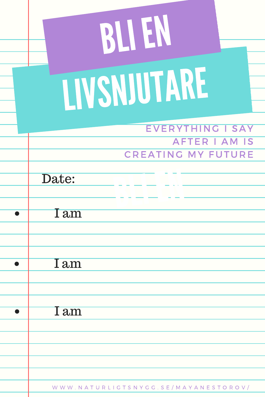| BLIEN                                                                 |
|-----------------------------------------------------------------------|
| LIVSNJUTARE                                                           |
| EVERYTHING I SAY<br><b>AFTER I AM IS</b><br><b>CREATING MY FUTURE</b> |
| Date:                                                                 |
| I am                                                                  |
| I am                                                                  |
| 1 <sub>am</sub>                                                       |
|                                                                       |
| WWW.NATURLIGTSNYGG.SE/MAYANESTOROV/                                   |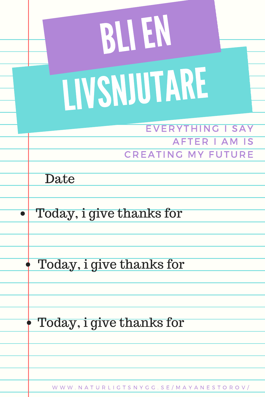| BLLEN                                           |
|-------------------------------------------------|
| LIVSNJUTARE                                     |
| <b>EVERYTHING I SAY</b><br><b>AFTER I AM IS</b> |
| <b>CREATING MY FUTURE</b>                       |
| Date                                            |
|                                                 |
| Today, i give thanks for                        |
|                                                 |
| Today, i give thanks for                        |
|                                                 |
|                                                 |
| Today, i give thanks for                        |
|                                                 |
|                                                 |
| WWW.NATURLIGTSNYGG.SE/MAYANESTOROV/             |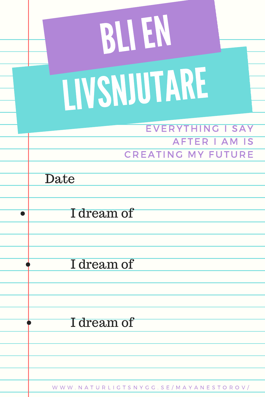| RUEN                                            |
|-------------------------------------------------|
| LIVSNUUTARE                                     |
| <b>EVERYTHING I SAY</b><br><b>AFTER I AM IS</b> |
| <b>CREATING MY FUTURE</b>                       |
| Date                                            |
|                                                 |
| I dream of                                      |
| I dream of                                      |
|                                                 |
| I dream of                                      |
|                                                 |
|                                                 |
| WWW.NATURLIGTSNYGG.SE/MAYANESTOROV/             |